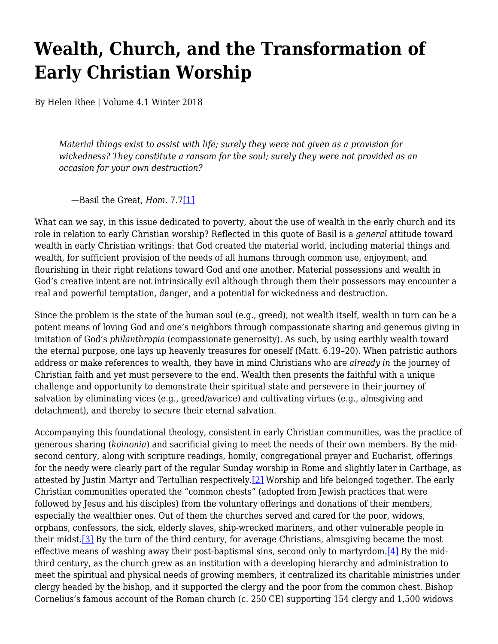## **Wealth, Church, and the Transformation of Early Christian Worship**

By Helen Rhee | Volume 4.1 Winter 2018

*Material things exist to assist with life; surely they were not given as a provision for wickedness? They constitute a ransom for the soul; surely they were not provided as an occasion for your own destruction?*

—Basil the Great, *Hom.* 7.[7\[1\]](#page-3-0)

<span id="page-0-0"></span>What can we say, in this issue dedicated to poverty, about the use of wealth in the early church and its role in relation to early Christian worship? Reflected in this quote of Basil is a *general* attitude toward wealth in early Christian writings: that God created the material world, including material things and wealth, for sufficient provision of the needs of all humans through common use, enjoyment, and flourishing in their right relations toward God and one another. Material possessions and wealth in God's creative intent are not intrinsically evil although through them their possessors may encounter a real and powerful temptation, danger, and a potential for wickedness and destruction.

Since the problem is the state of the human soul (e.g., greed), not wealth itself, wealth in turn can be a potent means of loving God and one's neighbors through compassionate sharing and generous giving in imitation of God's *philanthropia* (compassionate generosity). As such, by using earthly wealth toward the eternal purpose, one lays up heavenly treasures for oneself (Matt. 6.19–20). When patristic authors address or make references to wealth, they have in mind Christians who are *already in* the journey of Christian faith and yet must persevere to the end. Wealth then presents the faithful with a unique challenge and opportunity to demonstrate their spiritual state and persevere in their journey of salvation by eliminating vices (e.g., greed/avarice) and cultivating virtues (e.g., almsgiving and detachment), and thereby to *secure* their eternal salvation.

<span id="page-0-3"></span><span id="page-0-2"></span><span id="page-0-1"></span>Accompanying this foundational theology, consistent in early Christian communities, was the practice of generous sharing (*koinonia*) and sacrificial giving to meet the needs of their own members. By the midsecond century, along with scripture readings, homily, congregational prayer and Eucharist, offerings for the needy were clearly part of the regular Sunday worship in Rome and slightly later in Carthage, as attested by Justin Martyr and Tertullian respectively[.\[2\]](#page-3-1) Worship and life belonged together. The early Christian communities operated the "common chests" (adopted from Jewish practices that were followed by Jesus and his disciples) from the voluntary offerings and donations of their members, especially the wealthier ones. Out of them the churches served and cared for the poor, widows, orphans, confessors, the sick, elderly slaves, ship-wrecked mariners, and other vulnerable people in their midst.<sup>[3]</sup> By the turn of the third century, for average Christians, almsgiving became the most effective means of washing away their post-baptismal sins, second only to martyrdom.<sup>[4]</sup> By the midthird century, as the church grew as an institution with a developing hierarchy and administration to meet the spiritual and physical needs of growing members, it centralized its charitable ministries under clergy headed by the bishop, and it supported the clergy and the poor from the common chest. Bishop Cornelius's famous account of the Roman church (c. 250 CE) supporting 154 clergy and 1,500 widows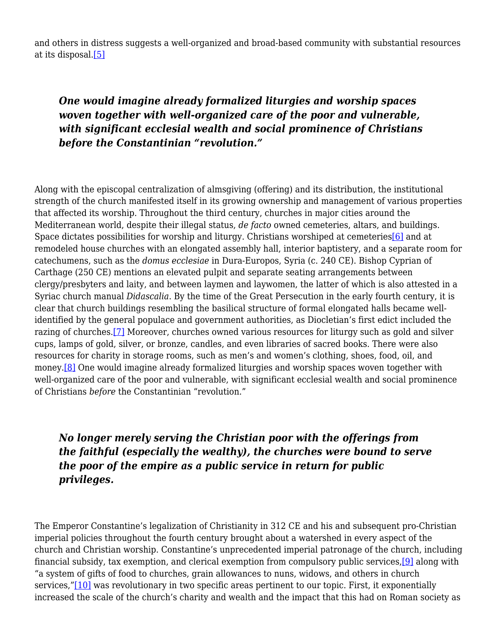<span id="page-1-0"></span>and others in distress suggests a well-organized and broad-based community with substantial resources at its disposal[.\[5\]](#page-3-4)

## *One would imagine already formalized liturgies and worship spaces woven together with well-organized care of the poor and vulnerable, with significant ecclesial wealth and social prominence of Christians before the Constantinian "revolution."*

<span id="page-1-1"></span>Along with the episcopal centralization of almsgiving (offering) and its distribution, the institutional strength of the church manifested itself in its growing ownership and management of various properties that affected its worship. Throughout the third century, churches in major cities around the Mediterranean world, despite their illegal status, *de facto* owned cemeteries, altars, and buildings. Space dictates possibilities for worship and liturgy. Christians worshiped at cemeteries<sup>[6]</sup> and at remodeled house churches with an elongated assembly hall, interior baptistery, and a separate room for catechumens, such as the *domus ecclesiae* in Dura-Europos, Syria (c. 240 CE). Bishop Cyprian of Carthage (250 CE) mentions an elevated pulpit and separate seating arrangements between clergy/presbyters and laity, and between laymen and laywomen, the latter of which is also attested in a Syriac church manual *Didascalia*. By the time of the Great Persecution in the early fourth century, it is clear that church buildings resembling the basilical structure of formal elongated halls became wellidentified by the general populace and government authorities, as Diocletian's first edict included the razing of churches[.\[7\]](#page-3-6) Moreover, churches owned various resources for liturgy such as gold and silver cups, lamps of gold, silver, or bronze, candles, and even libraries of sacred books. There were also resources for charity in storage rooms, such as men's and women's clothing, shoes, food, oil, and money.<sup>[8]</sup> One would imagine already formalized liturgies and worship spaces woven together with well-organized care of the poor and vulnerable, with significant ecclesial wealth and social prominence of Christians *before* the Constantinian "revolution."

## <span id="page-1-3"></span><span id="page-1-2"></span>*No longer merely serving the Christian poor with the offerings from the faithful (especially the wealthy), the churches were bound to serve the poor of the empire as a public service in return for public privileges.*

<span id="page-1-5"></span><span id="page-1-4"></span>The Emperor Constantine's legalization of Christianity in 312 CE and his and subsequent pro-Christian imperial policies throughout the fourth century brought about a watershed in every aspect of the church and Christian worship. Constantine's unprecedented imperial patronage of the church, including financial subsidy, tax exemption, and clerical exemption from compulsory public services[,\[9\]](#page-3-8) along with "a system of gifts of food to churches, grain allowances to nuns, widows, and others in church services,"[\[10\]](#page-3-9) was revolutionary in two specific areas pertinent to our topic. First, it exponentially increased the scale of the church's charity and wealth and the impact that this had on Roman society as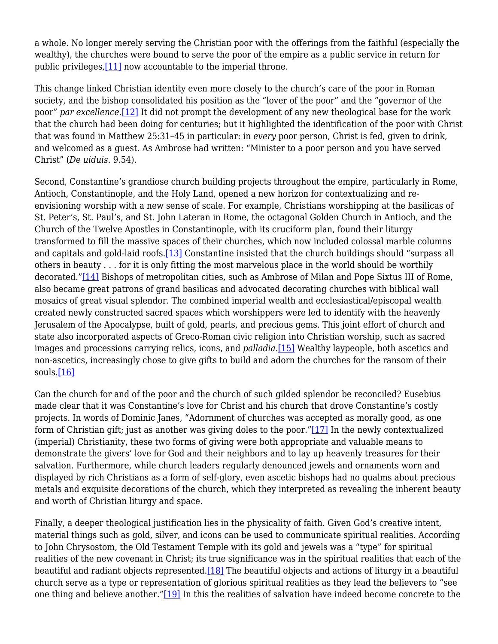a whole. No longer merely serving the Christian poor with the offerings from the faithful (especially the wealthy), the churches were bound to serve the poor of the empire as a public service in return for public privileges[,\[11\]](#page-3-10) now accountable to the imperial throne.

<span id="page-2-1"></span><span id="page-2-0"></span>This change linked Christian identity even more closely to the church's care of the poor in Roman society, and the bishop consolidated his position as the "lover of the poor" and the "governor of the poor" *par excellence*.[\[12\]](#page-3-11) It did not prompt the development of any new theological base for the work that the church had been doing for centuries; but it highlighted the identification of the poor with Christ that was found in Matthew 25:31–45 in particular: in *every* poor person, Christ is fed, given to drink, and welcomed as a guest. As Ambrose had written: "Minister to a poor person and you have served Christ" (*De uiduis*. 9.54).

<span id="page-2-3"></span><span id="page-2-2"></span>Second, Constantine's grandiose church building projects throughout the empire, particularly in Rome, Antioch, Constantinople, and the Holy Land, opened a new horizon for contextualizing and reenvisioning worship with a new sense of scale. For example, Christians worshipping at the basilicas of St. Peter's, St. Paul's, and St. John Lateran in Rome, the octagonal Golden Church in Antioch, and the Church of the Twelve Apostles in Constantinople, with its cruciform plan, found their liturgy transformed to fill the massive spaces of their churches, which now included colossal marble columns and capitals and gold-laid roofs.[\[13\]](#page-3-12) Constantine insisted that the church buildings should "surpass all others in beauty . . . for it is only fitting the most marvelous place in the world should be worthily decorated.["\[14\]](#page-3-13) Bishops of metropolitan cities, such as Ambrose of Milan and Pope Sixtus III of Rome, also became great patrons of grand basilicas and advocated decorating churches with biblical wall mosaics of great visual splendor. The combined imperial wealth and ecclesiastical/episcopal wealth created newly constructed sacred spaces which worshippers were led to identify with the heavenly Jerusalem of the Apocalypse, built of gold, pearls, and precious gems. This joint effort of church and state also incorporated aspects of Greco-Roman civic religion into Christian worship, such as sacred images and processions carrying relics, icons, and *palladia*.[\[15\]](#page-3-14) Wealthy laypeople, both ascetics and non-ascetics, increasingly chose to give gifts to build and adorn the churches for the ransom of their souls[.\[16\]](#page-3-15)

<span id="page-2-6"></span><span id="page-2-5"></span><span id="page-2-4"></span>Can the church for and of the poor and the church of such gilded splendor be reconciled? Eusebius made clear that it was Constantine's love for Christ and his church that drove Constantine's costly projects. In words of Dominic Janes, "Adornment of churches was accepted as morally good, as one form of Christian gift; just as another was giving doles to the poor.["\[17\]](#page-4-0) In the newly contextualized (imperial) Christianity, these two forms of giving were both appropriate and valuable means to demonstrate the givers' love for God and their neighbors and to lay up heavenly treasures for their salvation. Furthermore, while church leaders regularly denounced jewels and ornaments worn and displayed by rich Christians as a form of self-glory, even ascetic bishops had no qualms about precious metals and exquisite decorations of the church, which they interpreted as revealing the inherent beauty and worth of Christian liturgy and space.

<span id="page-2-9"></span><span id="page-2-8"></span><span id="page-2-7"></span>Finally, a deeper theological justification lies in the physicality of faith. Given God's creative intent, material things such as gold, silver, and icons can be used to communicate spiritual realities. According to John Chrysostom, the Old Testament Temple with its gold and jewels was a "type" for spiritual realities of the new covenant in Christ; its true significance was in the spiritual realities that each of the beautiful and radiant objects represented.[\[18\]](#page-4-1) The beautiful objects and actions of liturgy in a beautiful church serve as a type or representation of glorious spiritual realities as they lead the believers to "see one thing and believe another.["\[19\]](#page-4-2) In this the realities of salvation have indeed become concrete to the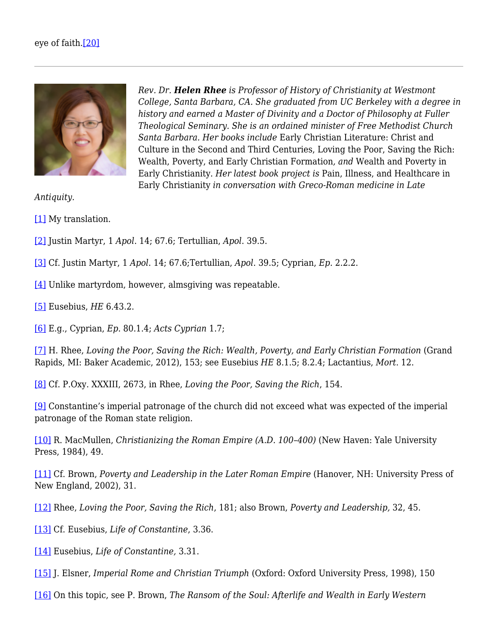

*Rev. Dr. Helen Rhee is Professor of History of Christianity at Westmont College, Santa Barbara, CA. She graduated from UC Berkeley with a degree in history and earned a Master of Divinity and a Doctor of Philosophy at Fuller Theological Seminary. She is an ordained minister of Free Methodist Church Santa Barbara. Her books include* Early Christian Literature: Christ and Culture in the Second and Third Centuries, Loving the Poor, Saving the Rich: Wealth, Poverty, and Early Christian Formation*, and* Wealth and Poverty in Early Christianity. *Her latest book project is* Pain, Illness, and Healthcare in Early Christianity *in conversation with Greco-Roman medicine in Late*

*Antiquity.*

<span id="page-3-0"></span>[\[1\]](#page-0-0) My translation.

- <span id="page-3-1"></span>[\[2\]](#page-0-1) Justin Martyr, 1 *Apol*. 14; 67.6; Tertullian, *Apol*. 39.5.
- <span id="page-3-2"></span>[\[3\]](#page-0-2) Cf. Justin Martyr, 1 *Apol*. 14; 67.6;Tertullian, *Apol*. 39.5; Cyprian, *Ep*. 2.2.2.
- <span id="page-3-3"></span>[\[4\]](#page-0-3) Unlike martyrdom, however, almsgiving was repeatable.

<span id="page-3-4"></span>[\[5\]](#page-1-0) Eusebius, *HE* 6.43.2.

<span id="page-3-5"></span>[\[6\]](#page-1-1) E.g., Cyprian, *Ep*. 80.1.4; *Acts Cyprian* 1.7;

<span id="page-3-6"></span>[\[7\]](#page-1-2) H. Rhee, *Loving the Poor, Saving the Rich: Wealth, Poverty, and Early Christian Formation* (Grand Rapids, MI: Baker Academic, 2012), 153; see Eusebius *HE* 8.1.5; 8.2.4; Lactantius, *Mort*. 12.

<span id="page-3-7"></span>[\[8\]](#page-1-3) Cf. P.Oxy. XXXIII, 2673, in Rhee, *Loving the Poor, Saving the Rich*, 154.

<span id="page-3-8"></span>[\[9\]](#page-1-4) Constantine's imperial patronage of the church did not exceed what was expected of the imperial patronage of the Roman state religion.

<span id="page-3-9"></span>[\[10\]](#page-1-5) R. MacMullen, *Christianizing the Roman Empire (A.D. 100–400)* (New Haven: Yale University Press, 1984), 49.

<span id="page-3-10"></span>[\[11\]](#page-2-0) Cf. Brown, *Poverty and Leadership in the Later Roman Empire* (Hanover, NH: University Press of New England, 2002), 31.

<span id="page-3-11"></span>[\[12\]](#page-2-1) Rhee, *Loving the Poor, Saving the Rich*, 181; also Brown, *Poverty and Leadership,* 32, 45.

<span id="page-3-12"></span>[\[13\]](#page-2-2) Cf. Eusebius, *Life of Constantine*, 3.36.

- <span id="page-3-13"></span>[\[14\]](#page-2-3) Eusebius, *Life of Constantine,* 3.31.
- <span id="page-3-14"></span>[\[15\]](#page-2-4) J. Elsner, *Imperial Rome and Christian Triumph* (Oxford: Oxford University Press, 1998), 150

<span id="page-3-15"></span>[\[16\]](#page-2-5) On this topic, see P. Brown, *The Ransom of the Soul: Afterlife and Wealth in Early Western*